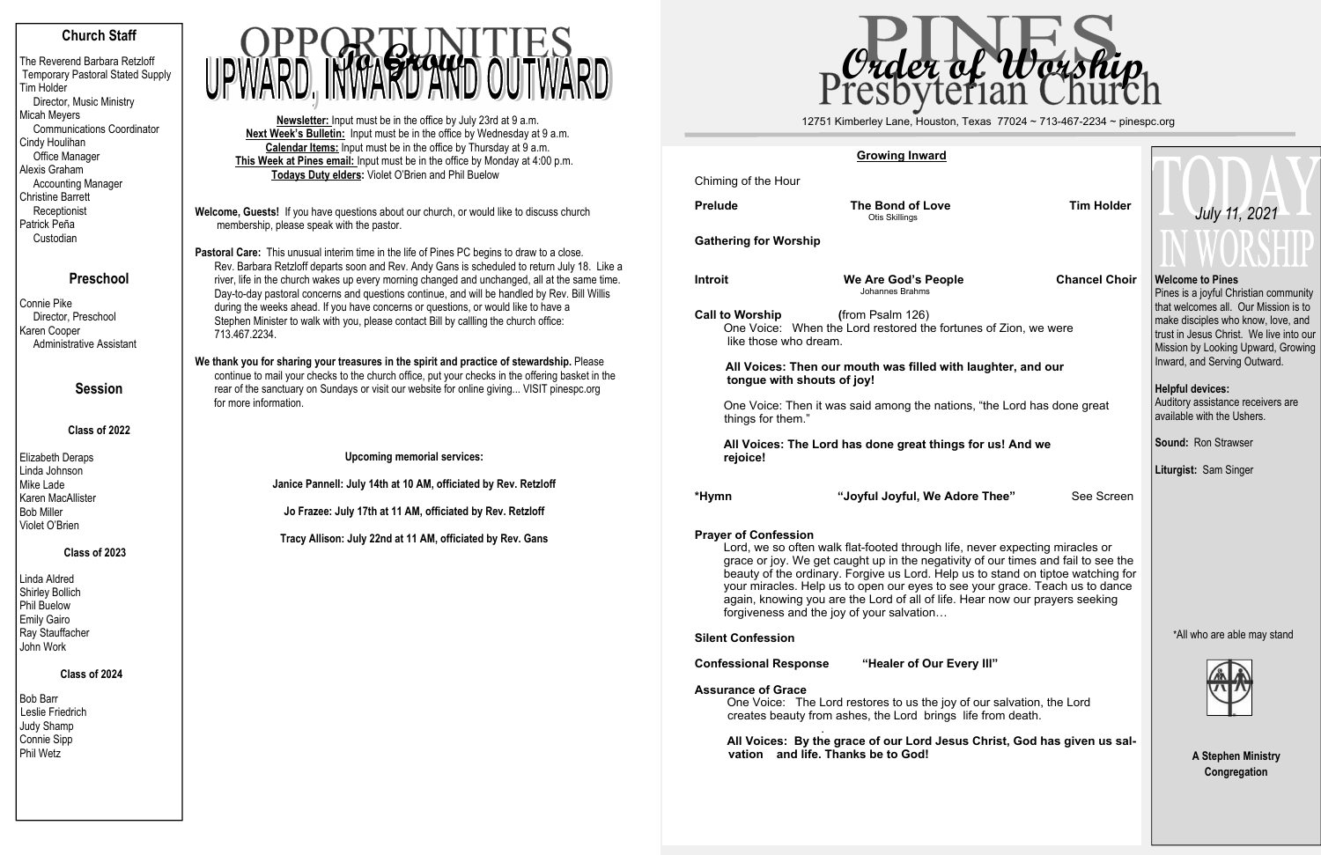### **Church Staff**

The Reverend Barbara Retzloff Temporary Pastoral Stated Supply Tim Holder Director, Music Ministry Micah Meyers Communications Coordinator Cindy Houlihan Office Manager Alexis Graham Accounting Manager Christine Barrett Receptionist Patrick Peña Custodian

## **Preschool**

Connie Pike Director, Preschool Karen Cooper Administrative Assistant

#### **Session**

**Class of 2022** 

Elizabeth Deraps Linda Johnson Mike Lade Karen MacAllister Bob Miller Violet O'Brien

#### **Class of 2023**

Linda Aldred Shirley Bollich Phil Buelow Emily Gairo Ray Stauffacher John Work

#### **Class of 2024**

Bob Barr Leslie Friedrich Judy Shamp Connie Sipp Phil Wetz

Pastoral Care: This unusual interim time in the life of Pines PC begins to draw to a close. Rev. Barbara Retzloff departs soon and Rev. Andy Gans is scheduled to return July 18. Like a river, life in the church wakes up every morning changed and unchanged, all at the same time. Day-to-day pastoral concerns and questions continue, and will be handled by Rev. Bill Willis during the weeks ahead. If you have concerns or questions, or would like to have a Stephen Minister to walk with you, please contact Bill by callling the church office: 713.467.2234.

**Welcome, Guests!** If you have questions about our church, or would like to discuss church membership, please speak with the pastor.

**We thank you for sharing your treasures in the spirit and practice of stewardship.** Please continue to mail your checks to the church office, put your checks in the offering basket in the rear of the sanctuary on Sundays or visit our website for online giving... VISIT pinespc.org for more information.

**Upcoming memorial services:** 

**Janice Pannell: July 14th at 10 AM, officiated by Rev. Retzloff** 

**Jo Frazee: July 17th at 11 AM, officiated by Rev. Retzloff** 

**Welcome to Pines**Pines is a joyful Christian community that welcomes all. Our Mission is to make disciples who know, love, and trust in Jesus Christ. We live into our Mission by Looking Upward, Growing Inward, and Serving Outward.

**Tracy Allison: July 22nd at 11 AM, officiated by Rev. Gans** 

**Newsletter:** Input must be in the office by July 23rd at 9 a.m. **Next Week's Bulletin:** Input must be in the office by Wednesday at 9 a.m. **Calendar Items:** Input must be in the office by Thursday at 9 a.m. **This Week at Pines email:** Input must be in the office by Monday at 4:00 p.m.  **Todays Duty elders:**  Violet O'Brien and Phil Buelow



| <b>Growing Inward</b>                                                                                                                                                                                                                                                                                                                                                                                                                                                                             |                                                                                                                                      |                      |  |  |  |  |  |  |  |  |
|---------------------------------------------------------------------------------------------------------------------------------------------------------------------------------------------------------------------------------------------------------------------------------------------------------------------------------------------------------------------------------------------------------------------------------------------------------------------------------------------------|--------------------------------------------------------------------------------------------------------------------------------------|----------------------|--|--|--|--|--|--|--|--|
| Chiming of the Hour                                                                                                                                                                                                                                                                                                                                                                                                                                                                               |                                                                                                                                      |                      |  |  |  |  |  |  |  |  |
| <b>Prelude</b>                                                                                                                                                                                                                                                                                                                                                                                                                                                                                    | <b>The Bond of Love</b><br>Otis Skillings                                                                                            | <b>Tim Holder</b>    |  |  |  |  |  |  |  |  |
| <b>Gathering for Worship</b>                                                                                                                                                                                                                                                                                                                                                                                                                                                                      |                                                                                                                                      |                      |  |  |  |  |  |  |  |  |
| <b>Introit</b>                                                                                                                                                                                                                                                                                                                                                                                                                                                                                    | We Are God's People<br>Johannes Brahms                                                                                               | <b>Chancel Choir</b> |  |  |  |  |  |  |  |  |
| <b>Call to Worship</b><br>(from Psalm 126)<br>One Voice: When the Lord restored the fortunes of Zion, we were<br>like those who dream.                                                                                                                                                                                                                                                                                                                                                            |                                                                                                                                      |                      |  |  |  |  |  |  |  |  |
| All Voices: Then our mouth was filled with laughter, and our<br>tongue with shouts of joy!                                                                                                                                                                                                                                                                                                                                                                                                        |                                                                                                                                      |                      |  |  |  |  |  |  |  |  |
| One Voice: Then it was said among the nations, "the Lord has done great<br>things for them."                                                                                                                                                                                                                                                                                                                                                                                                      |                                                                                                                                      |                      |  |  |  |  |  |  |  |  |
| All Voices: The Lord has done great things for us! And we<br>rejoice!                                                                                                                                                                                                                                                                                                                                                                                                                             |                                                                                                                                      |                      |  |  |  |  |  |  |  |  |
| *Hymn                                                                                                                                                                                                                                                                                                                                                                                                                                                                                             | "Joyful Joyful, We Adore Thee"                                                                                                       | See Screen           |  |  |  |  |  |  |  |  |
| <b>Prayer of Confession</b><br>Lord, we so often walk flat-footed through life, never expecting miracles or<br>grace or joy. We get caught up in the negativity of our times and fail to see the<br>beauty of the ordinary. Forgive us Lord. Help us to stand on tiptoe watching for<br>your miracles. Help us to open our eyes to see your grace. Teach us to dance<br>again, knowing you are the Lord of all of life. Hear now our prayers seeking<br>forgiveness and the joy of your salvation |                                                                                                                                      |                      |  |  |  |  |  |  |  |  |
| <b>Silent Confession</b>                                                                                                                                                                                                                                                                                                                                                                                                                                                                          |                                                                                                                                      |                      |  |  |  |  |  |  |  |  |
| <b>Confessional Response</b>                                                                                                                                                                                                                                                                                                                                                                                                                                                                      | "Healer of Our Every III"                                                                                                            |                      |  |  |  |  |  |  |  |  |
| <b>Assurance of Grace</b>                                                                                                                                                                                                                                                                                                                                                                                                                                                                         | One Voice: The Lord restores to us the joy of our salvation, the Lord<br>creates beauty from ashes, the Lord brings life from death. |                      |  |  |  |  |  |  |  |  |

 .  **All Voices: By the grace of our Lord Jesus Christ, God has given us salvation and life. Thanks be to God!**

**Helpful devices:**  Auditory assistance receivers are available with the Ushers.

**Sound:** Ron Strawser

**Liturgist:** Sam Singer

\*All who are able may stand



**A Stephen Ministry Congregation** 

 *July 11, 2021* 



12751 Kimberley Lane, Houston, Texas 77024 ~ 713-467-2234 ~ pinespc.org